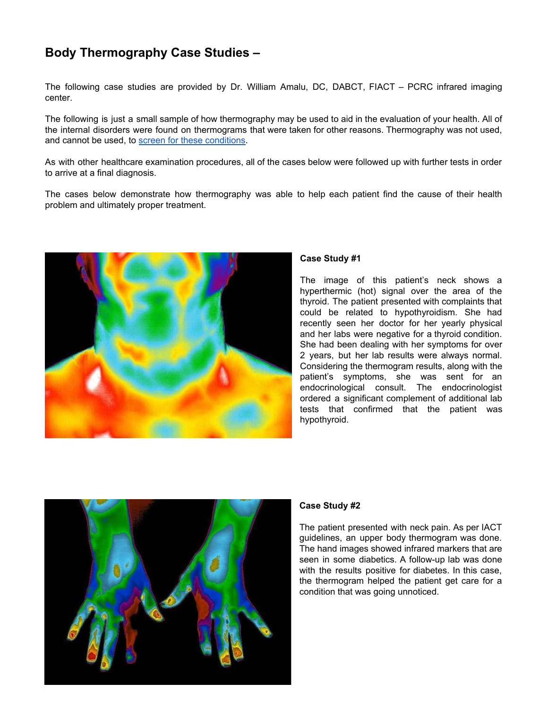# **Body Thermography Case Studies –**

The following case studies are provided by Dr. William Amalu, DC, DABCT, FIACT – PCRC infrared imaging center.

The following is just a small sample of how thermography may be used to aid in the evaluation of your health. All of the internal disorders were found on thermograms that were taken for other reasons. Thermography was not used, and cannot be used, to screen for these [conditions](http://breastthermography.com/faq/).

As with other healthcare examination procedures, all of the cases below were followed up with further tests in order to arrive at a final diagnosis.

The cases below demonstrate how thermography was able to help each patient find the cause of their health problem and ultimately proper treatment.



# **Case Study #1**

The image of this patient's neck shows a hyperthermic (hot) signal over the area of the thyroid. The patient presented with complaints that could be related to hypothyroidism. She had recently seen her doctor for her yearly physical and her labs were negative for a thyroid condition. She had been dealing with her symptoms for over 2 years, but her lab results were always normal. Considering the thermogram results, along with the patient's symptoms, she was sent for an endocrinological consult. The endocrinologist ordered a significant complement of additional lab tests that confirmed that the patient was hypothyroid.



# **Case Study #2**

The patient presented with neck pain. As per IACT guidelines, an upper body thermogram was done. The hand images showed infrared markers that are seen in some diabetics. A follow-up lab was done with the results positive for diabetes. In this case, the thermogram helped the patient get care for a condition that was going unnoticed.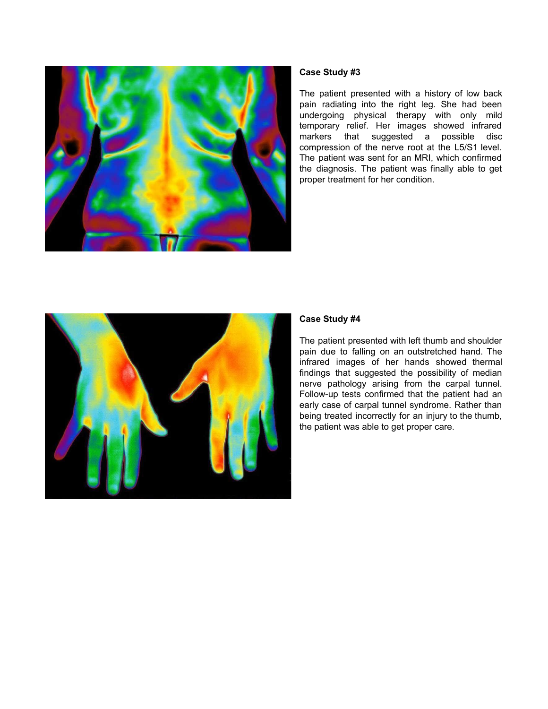

The patient presented with a history of low back pain radiating into the right leg. She had been undergoing physical therapy with only mild temporary relief. Her images showed infrared markers that suggested a possible disc compression of the nerve root at the L5/S1 level. The patient was sent for an MRI, which confirmed the diagnosis. The patient was finally able to get proper treatment for her condition.



#### **Case Study #4**

The patient presented with left thumb and shoulder pain due to falling on an outstretched hand. The infrared images of her hands showed thermal findings that suggested the possibility of median nerve pathology arising from the carpal tunnel. Follow-up tests confirmed that the patient had an early case of carpal tunnel syndrome. Rather than being treated incorrectly for an injury to the thumb, the patient was able to get proper care.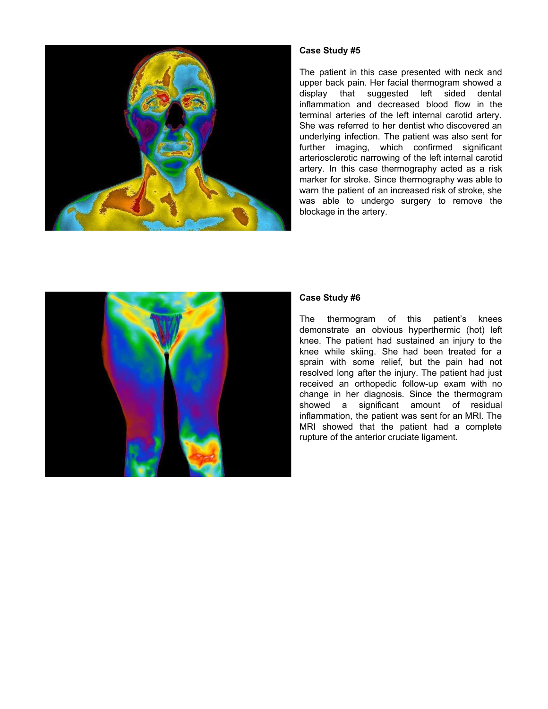

The patient in this case presented with neck and upper back pain. Her facial thermogram showed a display that suggested left sided dental inflammation and decreased blood flow in the terminal arteries of the left internal carotid artery. She was referred to her dentist who discovered an underlying infection. The patient was also sent for further imaging, which confirmed significant arteriosclerotic narrowing of the left internal carotid artery. In this case thermography acted as a risk marker for stroke. Since thermography was able to warn the patient of an increased risk of stroke, she was able to undergo surgery to remove the blockage in the artery.



## **Case Study #6**

The thermogram of this patient's knees demonstrate an obvious hyperthermic (hot) left knee. The patient had sustained an injury to the knee while skiing. She had been treated for a sprain with some relief, but the pain had not resolved long after the injury. The patient had just received an orthopedic follow-up exam with no change in her diagnosis. Since the thermogram showed a significant amount of residual inflammation, the patient was sent for an MRI. The MRI showed that the patient had a complete rupture of the anterior cruciate ligament.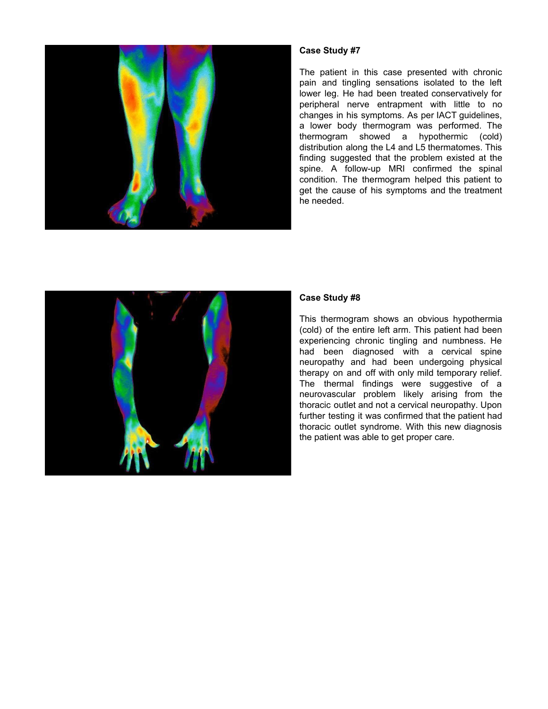

The patient in this case presented with chronic pain and tingling sensations isolated to the left lower leg. He had been treated conservatively for peripheral nerve entrapment with little to no changes in his symptoms. As per IACT guidelines, a lower body thermogram was performed. The thermogram showed a hypothermic (cold) distribution along the L4 and L5 thermatomes. This finding suggested that the problem existed at the spine. A follow-up MRI confirmed the spinal condition. The thermogram helped this patient to get the cause of his symptoms and the treatment he needed.



## **Case Study #8**

This thermogram shows an obvious hypothermia (cold) of the entire left arm. This patient had been experiencing chronic tingling and numbness. He had been diagnosed with a cervical spine neuropathy and had been undergoing physical therapy on and off with only mild temporary relief. The thermal findings were suggestive of a neurovascular problem likely arising from the thoracic outlet and not a cervical neuropathy. Upon further testing it was confirmed that the patient had thoracic outlet syndrome. With this new diagnosis the patient was able to get proper care.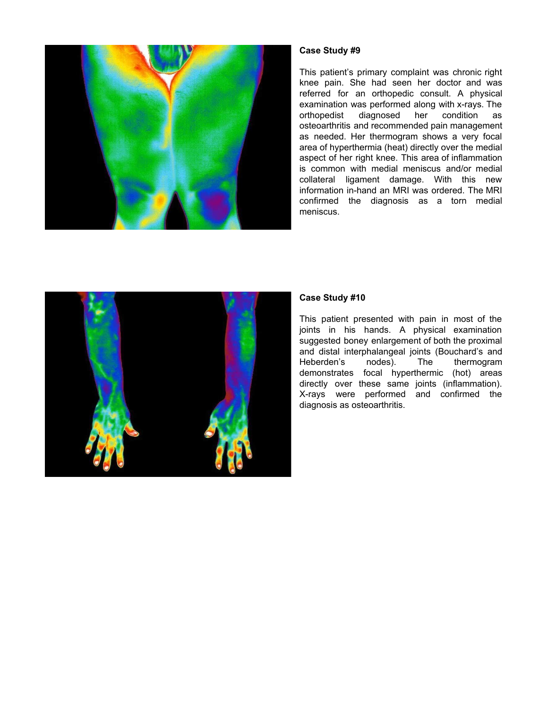

This patient's primary complaint was chronic right knee pain. She had seen her doctor and was referred for an orthopedic consult. A physical examination was performed along with x-rays. The orthopedist diagnosed her condition as osteoarthritis and recommended pain management as needed. Her thermogram shows a very focal area of hyperthermia (heat) directly over the medial aspect of her right knee. This area of inflammation is common with medial meniscus and/or medial collateral ligament damage. With this new information in-hand an MRI was ordered. The MRI confirmed the diagnosis as a torn medial meniscus.



## **Case Study #10**

This patient presented with pain in most of the joints in his hands. A physical examination suggested boney enlargement of both the proximal and distal interphalangeal joints (Bouchard's and Heberden's nodes). The thermogram demonstrates focal hyperthermic (hot) areas directly over these same joints (inflammation). X-rays were performed and confirmed the diagnosis as osteoarthritis.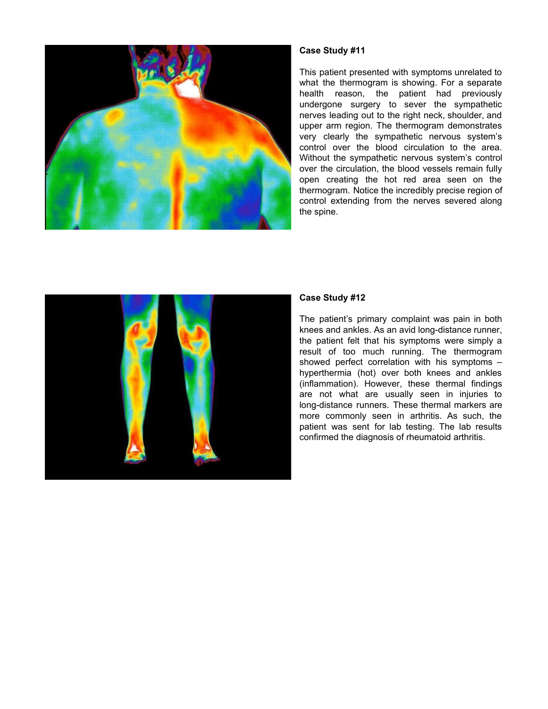

This patient presented with symptoms unrelated to what the thermogram is showing. For a separate health reason, the patient had previously undergone surgery to sever the sympathetic nerves leading out to the right neck, shoulder, and upper arm region. The thermogram demonstrates very clearly the sympathetic nervous system's control over the blood circulation to the area. Without the sympathetic nervous system's control over the circulation, the blood vessels remain fully open creating the hot red area seen on the thermogram. Notice the incredibly precise region of control extending from the nerves severed along the spine.



#### **Case Study #12**

The patient's primary complaint was pain in both knees and ankles. As an avid long-distance runner, the patient felt that his symptoms were simply a result of too much running. The thermogram showed perfect correlation with his symptoms – hyperthermia (hot) over both knees and ankles (inflammation). However, these thermal findings are not what are usually seen in injuries to long-distance runners. These thermal markers are more commonly seen in arthritis. As such, the patient was sent for lab testing. The lab results confirmed the diagnosis of rheumatoid arthritis.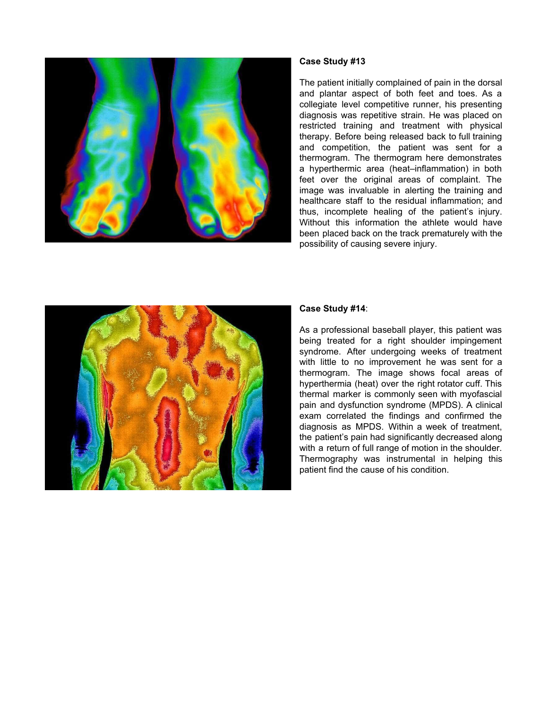

The patient initially complained of pain in the dorsal and plantar aspect of both feet and toes. As a collegiate level competitive runner, his presenting diagnosis was repetitive strain. He was placed on restricted training and treatment with physical therapy. Before being released back to full training and competition, the patient was sent for a thermogram. The thermogram here demonstrates a hyperthermic area (heat–inflammation) in both feet over the original areas of complaint. The image was invaluable in alerting the training and healthcare staff to the residual inflammation; and thus, incomplete healing of the patient's injury. Without this information the athlete would have been placed back on the track prematurely with the possibility of causing severe injury.



#### **Case Study #14**:

As a professional baseball player, this patient was being treated for a right shoulder impingement syndrome. After undergoing weeks of treatment with little to no improvement he was sent for a thermogram. The image shows focal areas of hyperthermia (heat) over the right rotator cuff. This thermal marker is commonly seen with myofascial pain and dysfunction syndrome (MPDS). A clinical exam correlated the findings and confirmed the diagnosis as MPDS. Within a week of treatment, the patient's pain had significantly decreased along with a return of full range of motion in the shoulder. Thermography was instrumental in helping this patient find the cause of his condition.